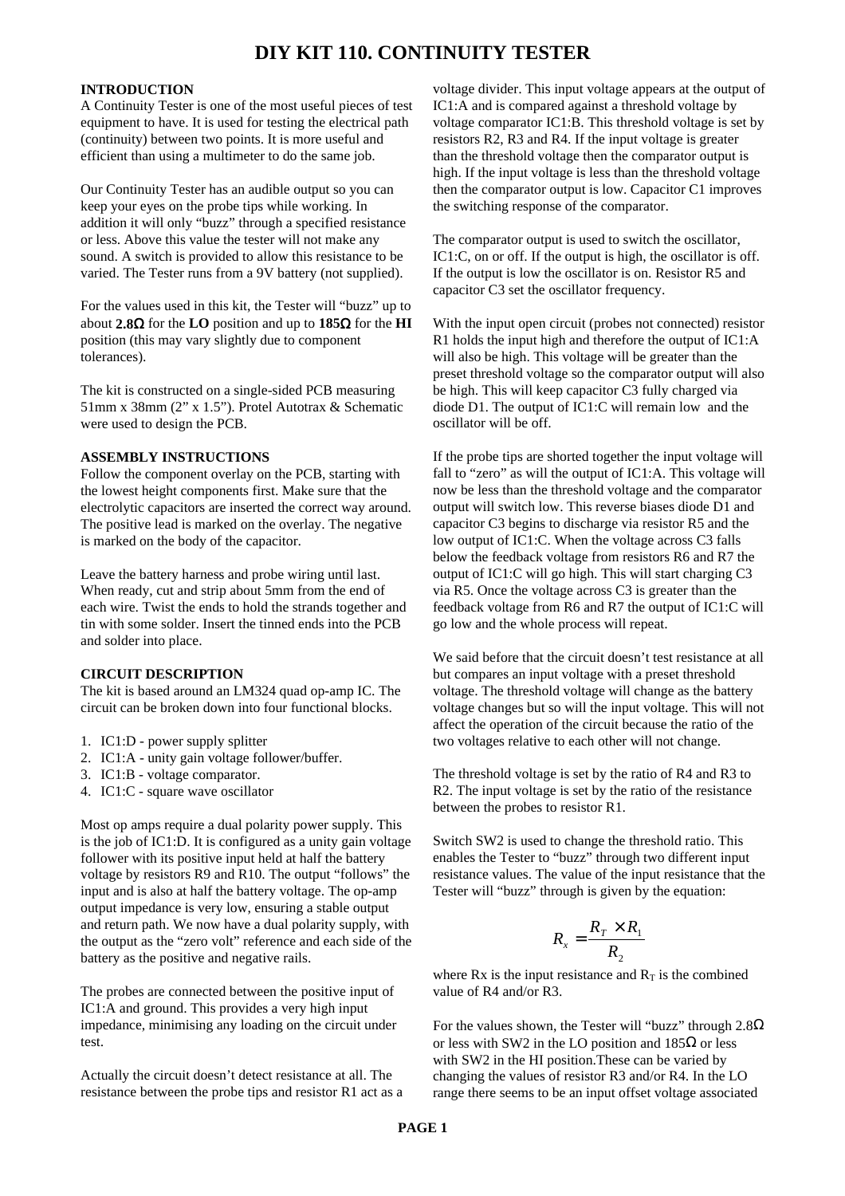# **DIY KIT 110. CONTINUITY TESTER**

#### **INTRODUCTION**

A Continuity Tester is one of the most useful pieces of test equipment to have. It is used for testing the electrical path (continuity) between two points. It is more useful and efficient than using a multimeter to do the same job.

Our Continuity Tester has an audible output so you can keep your eyes on the probe tips while working. In addition it will only "buzz" through a specified resistance or less. Above this value the tester will not make any sound. A switch is provided to allow this resistance to be varied. The Tester runs from a 9V battery (not supplied).

For the values used in this kit, the Tester will "buzz" up to about **2.8**Ω for the **LO** position and up to **185**Ω for the **HI** position (this may vary slightly due to component tolerances).

The kit is constructed on a single-sided PCB measuring 51mm x 38mm (2" x 1.5"). Protel Autotrax & Schematic were used to design the PCB.

#### **ASSEMBLY INSTRUCTIONS**

Follow the component overlay on the PCB, starting with the lowest height components first. Make sure that the electrolytic capacitors are inserted the correct way around. The positive lead is marked on the overlay. The negative is marked on the body of the capacitor.

Leave the battery harness and probe wiring until last. When ready, cut and strip about 5mm from the end of each wire. Twist the ends to hold the strands together and tin with some solder. Insert the tinned ends into the PCB and solder into place.

### **CIRCUIT DESCRIPTION**

The kit is based around an LM324 quad op-amp IC. The circuit can be broken down into four functional blocks.

- 1. IC1:D power supply splitter
- 2. IC1:A unity gain voltage follower/buffer.
- 3. IC1:B voltage comparator.
- 4. IC1:C square wave oscillator

Most op amps require a dual polarity power supply. This is the job of IC1:D. It is configured as a unity gain voltage follower with its positive input held at half the battery voltage by resistors R9 and R10. The output "follows" the input and is also at half the battery voltage. The op-amp output impedance is very low, ensuring a stable output and return path. We now have a dual polarity supply, with the output as the "zero volt" reference and each side of the battery as the positive and negative rails.

The probes are connected between the positive input of IC1:A and ground. This provides a very high input impedance, minimising any loading on the circuit under test.

Actually the circuit doesn't detect resistance at all. The resistance between the probe tips and resistor R1 act as a

voltage divider. This input voltage appears at the output of IC1:A and is compared against a threshold voltage by voltage comparator IC1:B. This threshold voltage is set by resistors R2, R3 and R4. If the input voltage is greater than the threshold voltage then the comparator output is high. If the input voltage is less than the threshold voltage then the comparator output is low. Capacitor C1 improves the switching response of the comparator.

The comparator output is used to switch the oscillator, IC1:C, on or off. If the output is high, the oscillator is off. If the output is low the oscillator is on. Resistor R5 and capacitor C3 set the oscillator frequency.

With the input open circuit (probes not connected) resistor R1 holds the input high and therefore the output of IC1:A will also be high. This voltage will be greater than the preset threshold voltage so the comparator output will also be high. This will keep capacitor C3 fully charged via diode D1. The output of IC1:C will remain low and the oscillator will be off.

If the probe tips are shorted together the input voltage will fall to "zero" as will the output of IC1:A. This voltage will now be less than the threshold voltage and the comparator output will switch low. This reverse biases diode D1 and capacitor C3 begins to discharge via resistor R5 and the low output of IC1:C. When the voltage across C3 falls below the feedback voltage from resistors R6 and R7 the output of IC1:C will go high. This will start charging C3 via R5. Once the voltage across C3 is greater than the feedback voltage from R6 and R7 the output of IC1:C will go low and the whole process will repeat.

We said before that the circuit doesn't test resistance at all but compares an input voltage with a preset threshold voltage. The threshold voltage will change as the battery voltage changes but so will the input voltage. This will not affect the operation of the circuit because the ratio of the two voltages relative to each other will not change.

The threshold voltage is set by the ratio of R4 and R3 to R2. The input voltage is set by the ratio of the resistance between the probes to resistor R1.

Switch SW2 is used to change the threshold ratio. This enables the Tester to "buzz" through two different input resistance values. The value of the input resistance that the Tester will "buzz" through is given by the equation:

$$
R_{x} = \frac{R_{T} \times R_{1}}{R_{2}}
$$

where Rx is the input resistance and  $R_T$  is the combined value of R4 and/or R3.

For the values shown, the Tester will "buzz" through  $2.8\Omega$ or less with SW2 in the LO position and  $185\Omega$  or less with SW2 in the HI position.These can be varied by changing the values of resistor R3 and/or R4. In the LO range there seems to be an input offset voltage associated